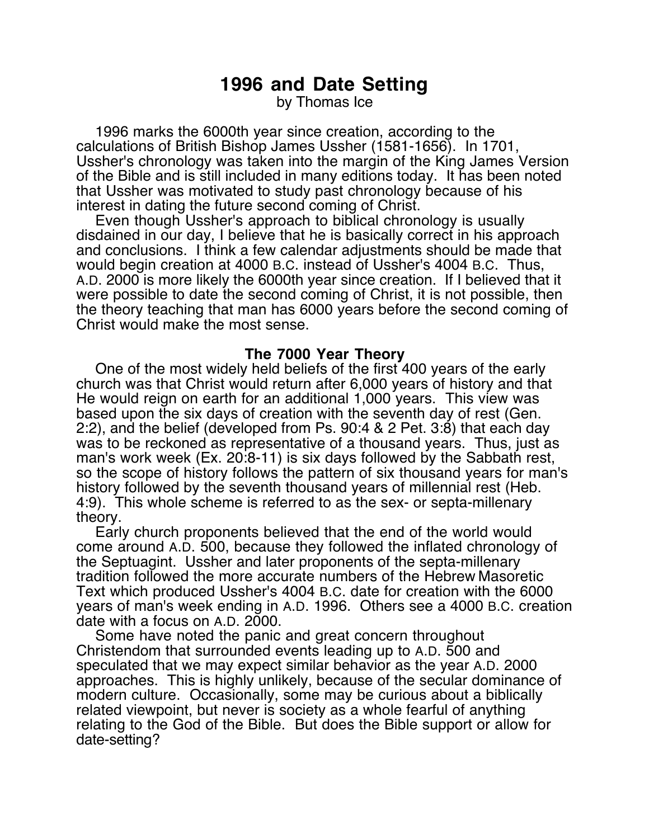## **1996 and Date Setting**

by Thomas Ice

1996 marks the 6000th year since creation, according to the calculations of British Bishop James Ussher (1581-1656). In 1701, Ussher's chronology was taken into the margin of the King James Version of the Bible and is still included in many editions today. It has been noted that Ussher was motivated to study past chronology because of his interest in dating the future second coming of Christ.

Even though Ussher's approach to biblical chronology is usually disdained in our day, I believe that he is basically correct in his approach and conclusions. I think a few calendar adjustments should be made that would begin creation at 4000 B.C. instead of Ussher's 4004 B.C. Thus, A.D. 2000 is more likely the 6000th year since creation. If I believed that it were possible to date the second coming of Christ, it is not possible, then the theory teaching that man has 6000 years before the second coming of Christ would make the most sense.

## **The 7000 Year Theory**

One of the most widely held beliefs of the first 400 years of the early church was that Christ would return after 6,000 years of history and that He would reign on earth for an additional 1,000 years. This view was based upon the six days of creation with the seventh day of rest (Gen. 2:2), and the belief (developed from Ps. 90:4 & 2 Pet. 3:8) that each day was to be reckoned as representative of a thousand years. Thus, just as man's work week (Ex. 20:8-11) is six days followed by the Sabbath rest, so the scope of history follows the pattern of six thousand years for man's history followed by the seventh thousand years of millennial rest (Heb. 4:9). This whole scheme is referred to as the sex- or septa-millenary theory.

Early church proponents believed that the end of the world would come around A.D. 500, because they followed the inflated chronology of the Septuagint. Ussher and later proponents of the septa-millenary tradition followed the more accurate numbers of the Hebrew Masoretic Text which produced Ussher's 4004 B.C. date for creation with the 6000 years of man's week ending in A.D. 1996. Others see a 4000 B.C. creation date with a focus on A.D. 2000.

Some have noted the panic and great concern throughout Christendom that surrounded events leading up to A.D. 500 and speculated that we may expect similar behavior as the year A.D. 2000 approaches. This is highly unlikely, because of the secular dominance of modern culture. Occasionally, some may be curious about a biblically related viewpoint, but never is society as a whole fearful of anything relating to the God of the Bible. But does the Bible support or allow for date-setting?